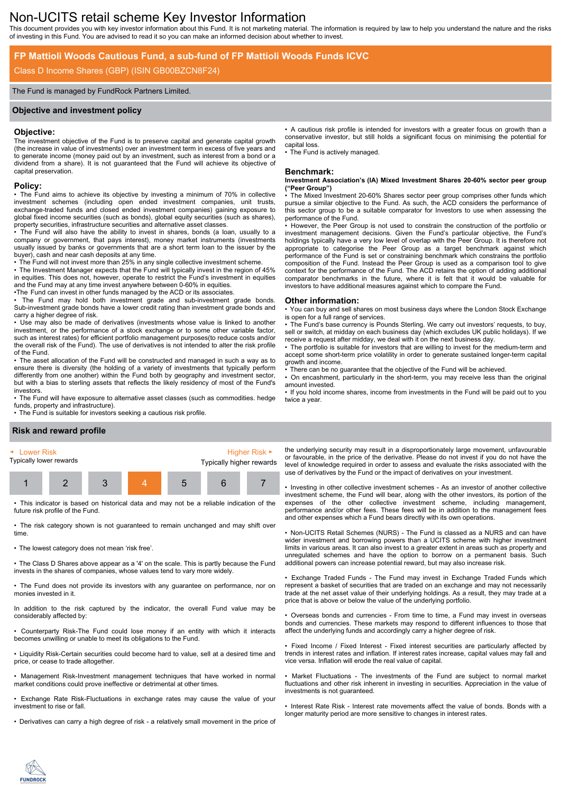# Non-UCITS retail scheme Key Investor Information

This document provides you with key investor information about this Fund. It is not marketing material. The information is required by law to help you understand the nature and the risks of investing in this Fund. You are advised to read it so you can make an informed decision about whether to invest.

### **FP Mattioli Woods Cautious Fund, a sub-fund of FP Mattioli Woods Funds ICVC**

### Class D Income Shares (GBP) (ISIN GB00BZCN8F24)

#### The Fund is managed by FundRock Partners Limited.

#### **Objective and investment policy**

#### **Objective:**

The investment objective of the Fund is to preserve capital and generate capital growth (the increase in value of investments) over an investment term in excess of five years and to generate income (money paid out by an investment, such as interest from a bond or a dividend from a share). It is not guaranteed that the Fund will achieve its objective of capital preservation.

#### **Policy:**

• The Fund aims to achieve its objective by investing a minimum of 70% in collective investment schemes (including open ended investment companies, unit trusts, exchange-traded funds and closed ended investment companies) gaining exposure to global fixed income securities (such as bonds), global equity securities (such as shares), property securities, infrastructure securities and alternative asset classes.

• The Fund will also have the ability to invest in shares, bonds (a loan, usually to a company or government, that pays interest), money market instruments (investments usually issued by banks or governments that are a short term loan to the issuer by the buyer), cash and near cash deposits at any time.

• The Fund will not invest more than 25% in any single collective investment scheme. • The Investment Manager expects that the Fund will typically invest in the region of 45% in equities. This does not, however, operate to restrict the Fund's investment in equities and the Fund may at any time invest anywhere between 0-60% in equities.

•The Fund can invest in other funds managed by the ACD or its associates.

• The Fund may hold both investment grade and sub-investment grade bonds. Sub-investment grade bonds have a lower credit rating than investment grade bonds and carry a higher degree of risk.

• Use may also be made of derivatives (investments whose value is linked to another investment, or the performance of a stock exchange or to some other variable factor, such as interest rates) for efficient portfolio management purposes(to reduce costs and/or the overall risk of the Fund). The use of derivatives is not intended to alter the risk profile of the Fund.

• The asset allocation of the Fund will be constructed and managed in such a way as to ensure there is diversity (the holding of a variety of investments that typically perform differently from one another) within the Fund both by geography and investment sector, but with a bias to sterling assets that reflects the likely residency of most of the Fund's investors.

• The Fund will have exposure to alternative asset classes (such as commodities. hedge funds, property and infrastructure).

• The Fund is suitable for investors seeking a cautious risk profile.

#### • A cautious risk profile is intended for investors with a greater focus on growth than a conservative investor, but still holds a significant focus on minimising the potential for capital loss.

The Fund is actively managed.

#### **Benchmark:**

**Investment Association's (IA) Mixed Investment Shares 20-60% sector peer group ("Peer Group")**

The Mixed Investment 20-60% Shares sector peer group comprises other funds which pursue a similar objective to the Fund. As such, the ACD considers the performance of this sector group to be a suitable comparator for Investors to use when assessing the performance of the Fund.

• However, the Peer Group is not used to constrain the construction of the portfolio or investment management decisions. Given the Fund's particular objective, the Fund's holdings typically have a very low level of overlap with the Peer Group. It is therefore not appropriate to categorise the Peer Group as a target benchmark against which performance of the Fund is set or constraining benchmark which constrains the portfolio composition of the Fund. Instead the Peer Group is used as a comparison tool to give context for the performance of the Fund. The ACD retains the option of adding additional comparator benchmarks in the future, where it is felt that it would be valuable for investors to have additional measures against which to compare the Fund.

#### **Other information:**

• You can buy and sell shares on most business days where the London Stock Exchange is open for a full range of services.

• The Fund's base currency is Pounds Sterling. We carry out investors' requests, to buy, sell or switch, at midday on each business day (which excludes UK public holidays). If we receive a request after midday, we deal with it on the next business day.

• The portfolio is suitable for investors that are willing to invest for the medium-term and accept some short-term price volatility in order to generate sustained longer-term capital growth and income.

There can be no guarantee that the objective of the Fund will be achieved.

• On encashment, particularly in the short-term, you may receive less than the original amount invested.

• If you hold income shares, income from investments in the Fund will be paid out to you twice a year.

### **Risk and reward profile**



• This indicator is based on historical data and may not be a reliable indication of the future risk profile of the Fund.

• The risk category shown is not guaranteed to remain unchanged and may shift over time.

• The lowest category does not mean 'risk free'.

• The Class D Shares above appear as a '4' on the scale. This is partly because the Fund invests in the shares of companies, whose values tend to vary more widely.

• The Fund does not provide its investors with any guarantee on performance, nor on monies invested in it.

In addition to the risk captured by the indicator, the overall Fund value may be considerably affected by:

• Counterparty Risk-The Fund could lose money if an entity with which it interacts becomes unwilling or unable to meet its obligations to the Fund.

• Liquidity Risk-Certain securities could become hard to value, sell at a desired time and price, or cease to trade altogether.

• Management Risk-Investment management techniques that have worked in normal market conditions could prove ineffective or detrimental at other times.

• Exchange Rate Risk-Fluctuations in exchange rates may cause the value of your investment to rise or fall.

• Derivatives can carry a high degree of risk - a relatively small movement in the price of

the underlying security may result in a disproportionately large movement, unfavourable or favourable, in the price of the derivative. Please do not invest if you do not have the level of knowledge required in order to assess and evaluate the risks associated with the use of derivatives by the Fund or the impact of derivatives on your investment.

• Investing in other collective investment schemes - As an investor of another collective investment scheme, the Fund will bear, along with the other investors, its portion of the expenses of the other collective investment scheme, including management, performance and/or other fees. These fees will be in addition to the management fees and other expenses which a Fund bears directly with its own operations.

• Non-UCITS Retail Schemes (NURS) - The Fund is classed as a NURS and can have wider investment and borrowing powers than a UCITS scheme with higher investment limits in various areas. It can also invest to a greater extent in areas such as property and unregulated schemes and have the option to borrow on a permanent basis. Such additional powers can increase potential reward, but may also increase risk.

• Exchange Traded Funds - The Fund may invest in Exchange Traded Funds which represent a basket of securities that are traded on an exchange and may not necessarily trade at the net asset value of their underlying holdings. As a result, they may trade at a price that is above or below the value of the underlying portfolio.

• Overseas bonds and currencies - From time to time, a Fund may invest in overseas bonds and currencies. These markets may respond to different influences to those that affect the underlying funds and accordingly carry a higher degree of risk.

• Fixed Income / Fixed Interest - Fixed interest securities are particularly affected by trends in interest rates and inflation. If interest rates increase, capital values may fall and vice versa. Inflation will erode the real value of capital.

Market Fluctuations - The investments of the Fund are subject to normal market fluctuations and other risk inherent in investing in securities. Appreciation in the value of investments is not guaranteed.

• Interest Rate Risk - Interest rate movements affect the value of bonds. Bonds with a longer maturity period are more sensitive to changes in interest rates.